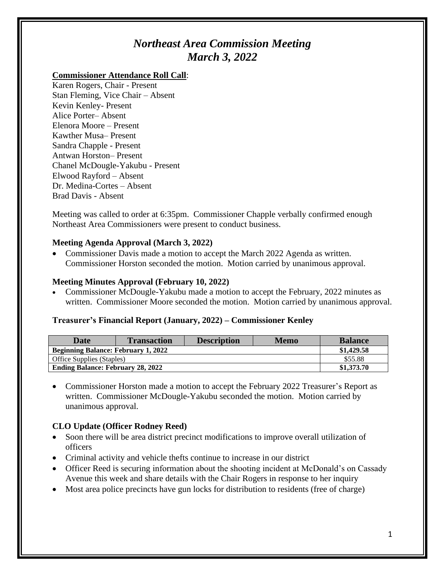# *Northeast Area Commission Meeting March 3, 2022*

## **Commissioner Attendance Roll Call**:

Karen Rogers, Chair - Present Stan Fleming, Vice Chair – Absent Kevin Kenley- Present Alice Porter– Absent Elenora Moore – Present Kawther Musa– Present Sandra Chapple - Present Antwan Horston– Present Chanel McDougle-Yakubu - Present Elwood Rayford – Absent Dr. Medina-Cortes – Absent Brad Davis - Absent

Meeting was called to order at 6:35pm. Commissioner Chapple verbally confirmed enough Northeast Area Commissioners were present to conduct business.

## **Meeting Agenda Approval (March 3, 2022)**

• Commissioner Davis made a motion to accept the March 2022 Agenda as written. Commissioner Horston seconded the motion. Motion carried by unanimous approval.

## **Meeting Minutes Approval (February 10, 2022)**

• Commissioner McDougle-Yakubu made a motion to accept the February, 2022 minutes as written. Commissioner Moore seconded the motion. Motion carried by unanimous approval.

## **Treasurer's Financial Report (January, 2022) – Commissioner Kenley**

| <b>Date</b>                                | <b>Transaction</b> | <b>Description</b> | <b>Memo</b> | <b>Balance</b> |
|--------------------------------------------|--------------------|--------------------|-------------|----------------|
| <b>Beginning Balance: February 1, 2022</b> |                    |                    |             | \$1,429.58     |
| <b>Office Supplies (Staples)</b>           |                    |                    |             | \$55.88        |
| <b>Ending Balance: February 28, 2022</b>   |                    |                    |             | \$1,373.70     |

• Commissioner Horston made a motion to accept the February 2022 Treasurer's Report as written. Commissioner McDougle-Yakubu seconded the motion. Motion carried by unanimous approval.

# **CLO Update (Officer Rodney Reed)**

- Soon there will be area district precinct modifications to improve overall utilization of officers
- Criminal activity and vehicle thefts continue to increase in our district
- Officer Reed is securing information about the shooting incident at McDonald's on Cassady Avenue this week and share details with the Chair Rogers in response to her inquiry
- Most area police precincts have gun locks for distribution to residents (free of charge)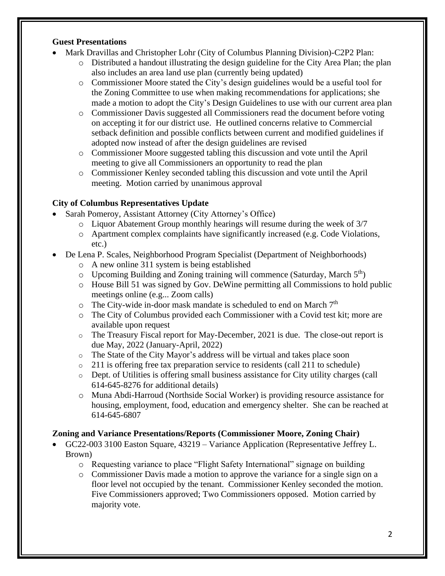#### **Guest Presentations**

- Mark Dravillas and Christopher Lohr (City of Columbus Planning Division)-C2P2 Plan:
	- o Distributed a handout illustrating the design guideline for the City Area Plan; the plan also includes an area land use plan (currently being updated)
	- o Commissioner Moore stated the City's design guidelines would be a useful tool for the Zoning Committee to use when making recommendations for applications; she made a motion to adopt the City's Design Guidelines to use with our current area plan
	- o Commissioner Davis suggested all Commissioners read the document before voting on accepting it for our district use. He outlined concerns relative to Commercial setback definition and possible conflicts between current and modified guidelines if adopted now instead of after the design guidelines are revised
	- o Commissioner Moore suggested tabling this discussion and vote until the April meeting to give all Commissioners an opportunity to read the plan
	- o Commissioner Kenley seconded tabling this discussion and vote until the April meeting. Motion carried by unanimous approval

#### **City of Columbus Representatives Update**

- Sarah Pomeroy, Assistant Attorney (City Attorney's Office)
	- o Liquor Abatement Group monthly hearings will resume during the week of 3/7
	- o Apartment complex complaints have significantly increased (e.g. Code Violations, etc.)
- De Lena P. Scales, Neighborhood Program Specialist (Department of Neighborhoods)
	- o A new online 311 system is being established
	- $\circ$  Upcoming Building and Zoning training will commence (Saturday, March  $5<sup>th</sup>$ )
	- o House Bill 51 was signed by Gov. DeWine permitting all Commissions to hold public meetings online (e.g... Zoom calls)
	- $\circ$  The City-wide in-door mask mandate is scheduled to end on March  $7<sup>th</sup>$
	- o The City of Columbus provided each Commissioner with a Covid test kit; more are available upon request
	- o The Treasury Fiscal report for May-December, 2021 is due. The close-out report is due May, 2022 (January-April, 2022)
	- o The State of the City Mayor's address will be virtual and takes place soon
	- $\circ$  211 is offering free tax preparation service to residents (call 211 to schedule)
	- o Dept. of Utilities is offering small business assistance for City utility charges (call 614-645-8276 for additional details)
	- o Muna Abdi-Harroud (Northside Social Worker) is providing resource assistance for housing, employment, food, education and emergency shelter. She can be reached at 614-645-6807

## **Zoning and Variance Presentations/Reports (Commissioner Moore, Zoning Chair)**

- GC22-003 3100 Easton Square, 43219 Variance Application (Representative Jeffrey L. Brown)
	- o Requesting variance to place "Flight Safety International" signage on building
	- o Commissioner Davis made a motion to approve the variance for a single sign on a floor level not occupied by the tenant. Commissioner Kenley seconded the motion. Five Commissioners approved; Two Commissioners opposed. Motion carried by majority vote.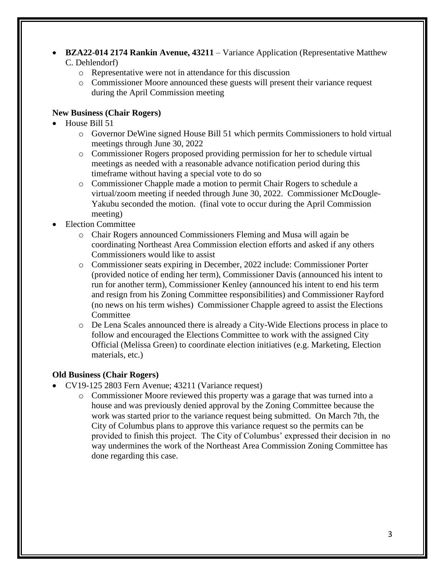- **BZA22-014 2174 Rankin Avenue, 43211** Variance Application (Representative Matthew C. Dehlendorf)
	- o Representative were not in attendance for this discussion
	- o Commissioner Moore announced these guests will present their variance request during the April Commission meeting

## **New Business (Chair Rogers)**

- House Bill 51
	- o Governor DeWine signed House Bill 51 which permits Commissioners to hold virtual meetings through June 30, 2022
	- o Commissioner Rogers proposed providing permission for her to schedule virtual meetings as needed with a reasonable advance notification period during this timeframe without having a special vote to do so
	- o Commissioner Chapple made a motion to permit Chair Rogers to schedule a virtual/zoom meeting if needed through June 30, 2022. Commissioner McDougle-Yakubu seconded the motion. (final vote to occur during the April Commission meeting)
- Election Committee
	- o Chair Rogers announced Commissioners Fleming and Musa will again be coordinating Northeast Area Commission election efforts and asked if any others Commissioners would like to assist
	- o Commissioner seats expiring in December, 2022 include: Commissioner Porter (provided notice of ending her term), Commissioner Davis (announced his intent to run for another term), Commissioner Kenley (announced his intent to end his term and resign from his Zoning Committee responsibilities) and Commissioner Rayford (no news on his term wishes) Commissioner Chapple agreed to assist the Elections Committee
	- o De Lena Scales announced there is already a City-Wide Elections process in place to follow and encouraged the Elections Committee to work with the assigned City Official (Melissa Green) to coordinate election initiatives (e.g. Marketing, Election materials, etc.)

## **Old Business (Chair Rogers)**

- CV19-125 2803 Fern Avenue; 43211 (Variance request)
	- o Commissioner Moore reviewed this property was a garage that was turned into a house and was previously denied approval by the Zoning Committee because the work was started prior to the variance request being submitted. On March 7th, the City of Columbus plans to approve this variance request so the permits can be provided to finish this project. The City of Columbus' expressed their decision in no way undermines the work of the Northeast Area Commission Zoning Committee has done regarding this case.